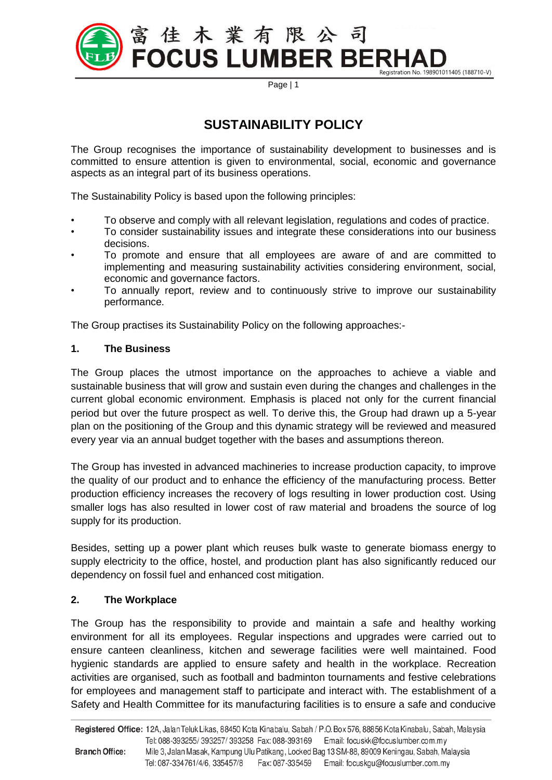

Page | 1

# **SUSTAINABILITY POLICY**

The Group recognises the importance of sustainability development to businesses and is committed to ensure attention is given to environmental, social, economic and governance aspects as an integral part of its business operations.

The Sustainability Policy is based upon the following principles:

- To observe and comply with all relevant legislation, regulations and codes of practice.
- To consider sustainability issues and integrate these considerations into our business decisions.
- To promote and ensure that all employees are aware of and are committed to implementing and measuring sustainability activities considering environment, social, economic and governance factors.
- To annually report, review and to continuously strive to improve our sustainability performance.

The Group practises its Sustainability Policy on the following approaches:-

## **1. The Business**

The Group places the utmost importance on the approaches to achieve a viable and sustainable business that will grow and sustain even during the changes and challenges in the current global economic environment. Emphasis is placed not only for the current financial period but over the future prospect as well. To derive this, the Group had drawn up a 5-year plan on the positioning of the Group and this dynamic strategy will be reviewed and measured every year via an annual budget together with the bases and assumptions thereon.

The Group has invested in advanced machineries to increase production capacity, to improve the quality of our product and to enhance the efficiency of the manufacturing process. Better production efficiency increases the recovery of logs resulting in lower production cost. Using smaller logs has also resulted in lower cost of raw material and broadens the source of log supply for its production.

Besides, setting up a power plant which reuses bulk waste to generate biomass energy to supply electricity to the office, hostel, and production plant has also significantly reduced our dependency on fossil fuel and enhanced cost mitigation.

## **2. The Workplace**

The Group has the responsibility to provide and maintain a safe and healthy working environment for all its employees. Regular inspections and upgrades were carried out to ensure canteen cleanliness, kitchen and sewerage facilities were well maintained. Food hygienic standards are applied to ensure safety and health in the workplace. Recreation activities are organised, such as football and badminton tournaments and festive celebrations for employees and management staff to participate and interact with. The establishment of a Safety and Health Committee for its manufacturing facilities is to ensure a safe and conducive

Registered Office: 12A, Jalan Teluk Likas, 88450 Kota Kinabalu, Sabah / P.O. Box 576, 88856 Kota Kinabalu, Sabah, Malaysia Tel: 088-393255/393257/393258 Fax: 088-393169 Email: focuskk@focuslumber.com.my **Branch Office:** Mile 3, Jalan Masak, Kampung Ulu Patikang, Locked Bag 13 SM-88, 89009 Keningau, Sabah, Malaysia Tel: 087-334761/4/6, 335457/8 Fax: 087-335459 Email: focuskgu@focuslumber.com.my

**\_\_\_\_\_\_\_\_\_\_\_\_\_\_\_\_\_\_\_\_\_\_\_\_\_\_\_\_\_\_\_\_\_\_\_\_\_\_\_\_\_\_\_\_\_\_\_\_\_\_\_\_\_\_\_\_\_\_\_\_\_\_\_\_\_\_\_\_\_\_\_\_\_\_\_\_\_\_\_\_\_\_\_\_**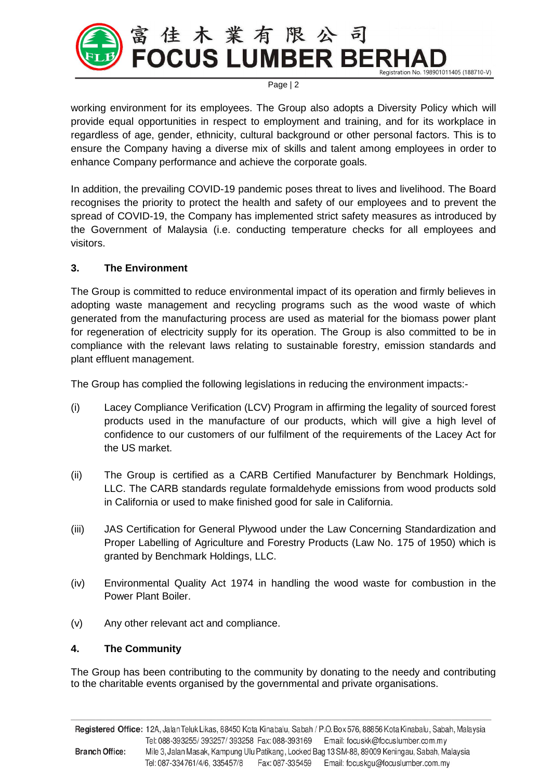

Page | 2

working environment for its employees. The Group also adopts a Diversity Policy which will provide equal opportunities in respect to employment and training, and for its workplace in regardless of age, gender, ethnicity, cultural background or other personal factors. This is to ensure the Company having a diverse mix of skills and talent among employees in order to enhance Company performance and achieve the corporate goals.

In addition, the prevailing COVID-19 pandemic poses threat to lives and livelihood. The Board recognises the priority to protect the health and safety of our employees and to prevent the spread of COVID-19, the Company has implemented strict safety measures as introduced by the Government of Malaysia (i.e. conducting temperature checks for all employees and visitors.

## **3. The Environment**

The Group is committed to reduce environmental impact of its operation and firmly believes in adopting waste management and recycling programs such as the wood waste of which generated from the manufacturing process are used as material for the biomass power plant for regeneration of electricity supply for its operation. The Group is also committed to be in compliance with the relevant laws relating to sustainable forestry, emission standards and plant effluent management.

The Group has complied the following legislations in reducing the environment impacts:-

- (i) Lacey Compliance Verification (LCV) Program in affirming the legality of sourced forest products used in the manufacture of our products, which will give a high level of confidence to our customers of our fulfilment of the requirements of the Lacey Act for the US market.
- (ii) The Group is certified as a CARB Certified Manufacturer by Benchmark Holdings, LLC. The CARB standards regulate formaldehyde emissions from wood products sold in California or used to make finished good for sale in California.
- (iii) JAS Certification for General Plywood under the Law Concerning Standardization and Proper Labelling of Agriculture and Forestry Products (Law No. 175 of 1950) which is granted by Benchmark Holdings, LLC.
- (iv) Environmental Quality Act 1974 in handling the wood waste for combustion in the Power Plant Boiler.
- (v) Any other relevant act and compliance.

## **4. The Community**

The Group has been contributing to the community by donating to the needy and contributing to the charitable events organised by the governmental and private organisations.

Registered Office: 12A, Jalan Teluk Likas, 88450 Kota Kinabalu, Sabah / P.O. Box 576, 88856 Kota Kinabalu, Sabah, Malaysia Tel: 088-393255/393257/393258 Fax: 088-393169 Email: focuskk@focuslumber.com.my Mile 3, Jalan Masak, Kampung Ulu Patikang, Locked Bag 13 SM-88, 89009 Keningau, Sabah, Malaysia **Branch Office:** Tel: 087-334761/4/6, 335457/8 Fax: 087-335459 Email: focuskgu@focuslumber.com.my

**\_\_\_\_\_\_\_\_\_\_\_\_\_\_\_\_\_\_\_\_\_\_\_\_\_\_\_\_\_\_\_\_\_\_\_\_\_\_\_\_\_\_\_\_\_\_\_\_\_\_\_\_\_\_\_\_\_\_\_\_\_\_\_\_\_\_\_\_\_\_\_\_\_\_\_\_\_\_\_\_\_\_\_\_**